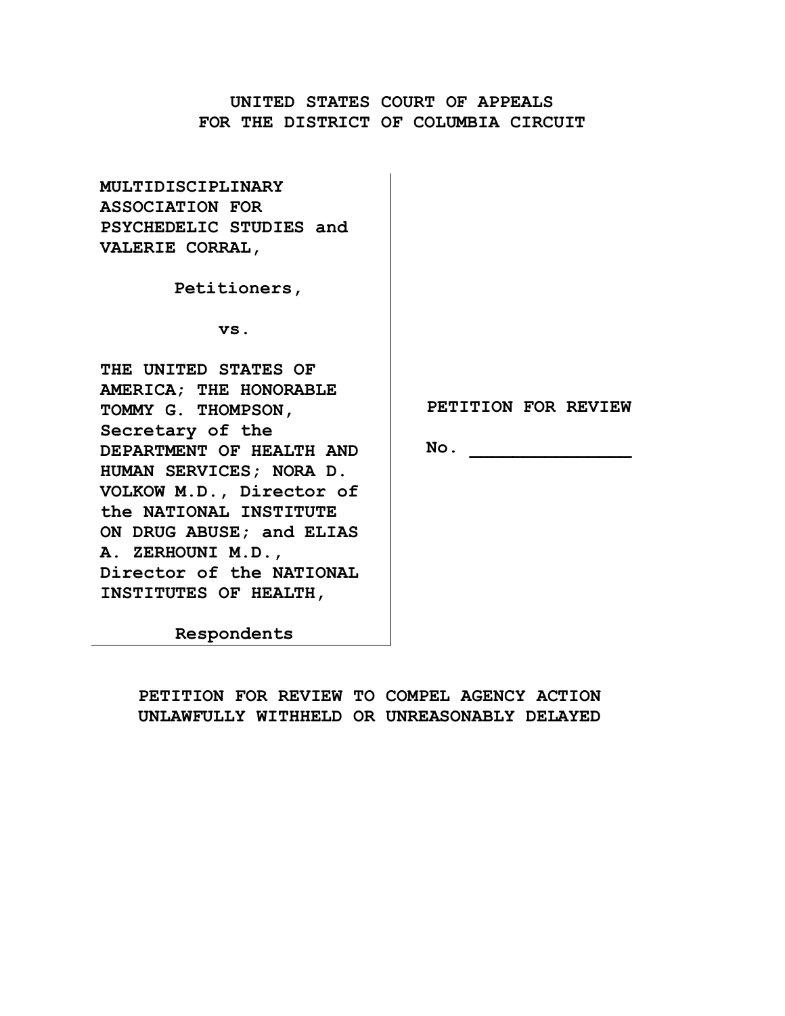# **UNITED STATES COURT OF APPEALS FOR THE DISTRICT OF COLUMBIA CIRCUIT**

**MULTIDISCIPLINARY ASSOCIATION FOR PSYCHEDELIC STUDIES and VALERIE CORRAL,** 

 **Petitioners,** 

**vs.** 

**THE UNITED STATES OF AMERICA; THE HONORABLE TOMMY G. THOMPSON, Secretary of the DEPARTMENT OF HEALTH AND HUMAN SERVICES; NORA D. VOLKOW M.D., Director of the NATIONAL INSTITUTE ON DRUG ABUSE; and ELIAS A. ZERHOUNI M.D., Director of the NATIONAL INSTITUTES OF HEALTH,** 

**PETITION FOR REVIEW** 

**No. \_\_\_\_\_\_\_\_\_\_\_\_\_\_\_** 

**Respondents** 

**PETITION FOR REVIEW TO COMPEL AGENCY ACTION UNLAWFULLY WITHHELD OR UNREASONABLY DELAYED**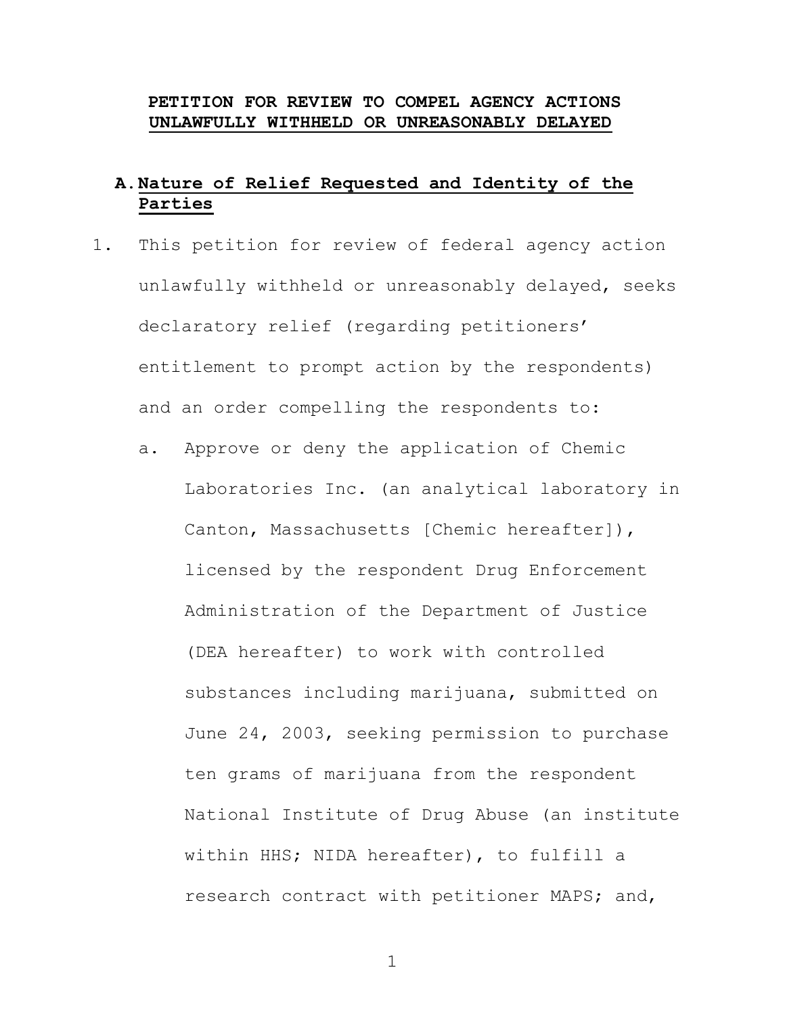## **PETITION FOR REVIEW TO COMPEL AGENCY ACTIONS UNLAWFULLY WITHHELD OR UNREASONABLY DELAYED**

# **A.Nature of Relief Requested and Identity of the Parties**

- 1. This petition for review of federal agency action unlawfully withheld or unreasonably delayed, seeks declaratory relief (regarding petitioners' entitlement to prompt action by the respondents) and an order compelling the respondents to:
	- a. Approve or deny the application of Chemic Laboratories Inc. (an analytical laboratory in Canton, Massachusetts [Chemic hereafter]), licensed by the respondent Drug Enforcement Administration of the Department of Justice (DEA hereafter) to work with controlled substances including marijuana, submitted on June 24, 2003, seeking permission to purchase ten grams of marijuana from the respondent National Institute of Drug Abuse (an institute within HHS; NIDA hereafter), to fulfill a research contract with petitioner MAPS; and,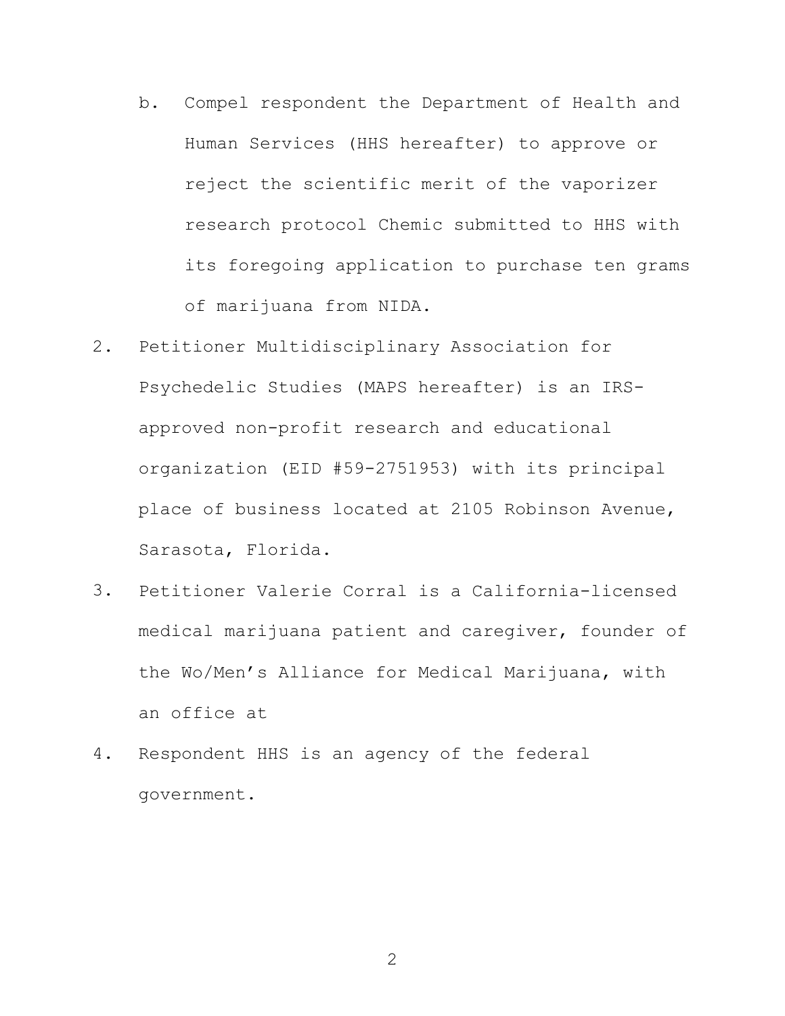- b. Compel respondent the Department of Health and Human Services (HHS hereafter) to approve or reject the scientific merit of the vaporizer research protocol Chemic submitted to HHS with its foregoing application to purchase ten grams of marijuana from NIDA.
- 2. Petitioner Multidisciplinary Association for Psychedelic Studies (MAPS hereafter) is an IRSapproved non-profit research and educational organization (EID #59-2751953) with its principal place of business located at 2105 Robinson Avenue, Sarasota, Florida.
- 3. Petitioner Valerie Corral is a California-licensed medical marijuana patient and caregiver, founder of the Wo/Men's Alliance for Medical Marijuana, with an office at
- 4. Respondent HHS is an agency of the federal government.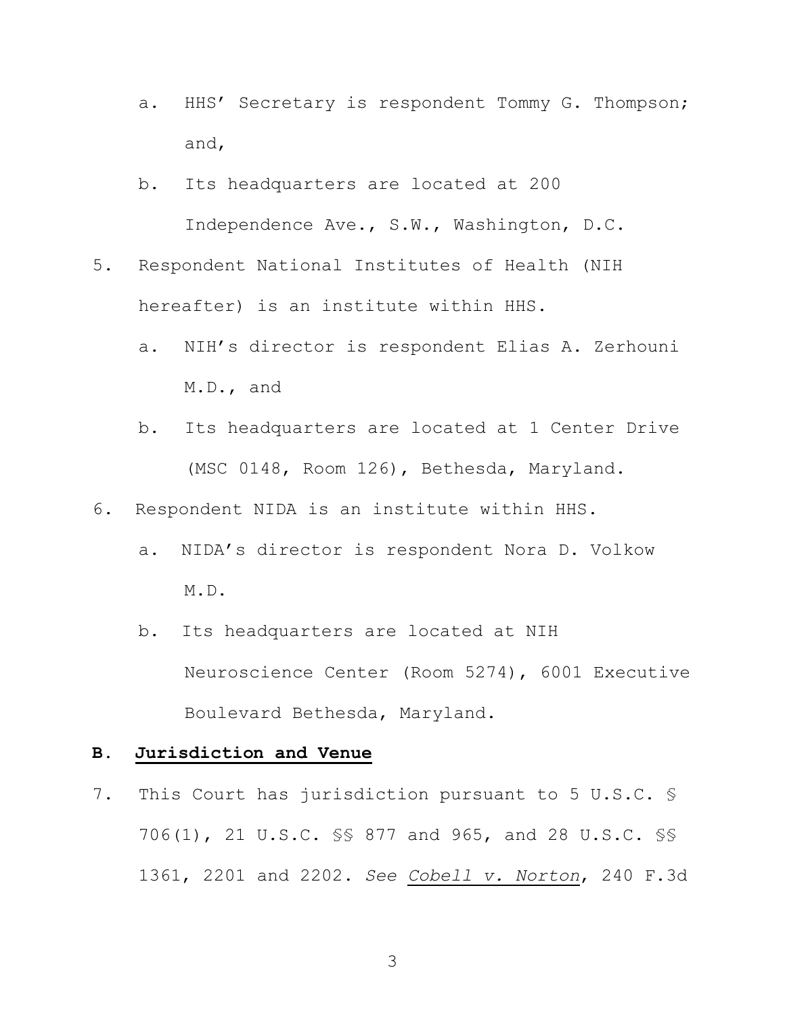- a. HHS' Secretary is respondent Tommy G. Thompson; and,
- b. Its headquarters are located at 200 Independence Ave., S.W., Washington, D.C.
- 5. Respondent National Institutes of Health (NIH hereafter) is an institute within HHS.
	- a. NIH's director is respondent Elias A. Zerhouni M.D., and
	- b. Its headquarters are located at 1 Center Drive (MSC 0148, Room 126), Bethesda, Maryland.
- 6. Respondent NIDA is an institute within HHS.
	- a. NIDA's director is respondent Nora D. Volkow M.D.
	- b. Its headquarters are located at NIH Neuroscience Center (Room 5274), 6001 Executive Boulevard Bethesda, Maryland.

### **B. Jurisdiction and Venue**

7. This Court has jurisdiction pursuant to 5 U.S.C. § 706(1), 21 U.S.C. §§ 877 and 965, and 28 U.S.C. §§ 1361, 2201 and 2202. *See Cobell v. Norton*, 240 F.3d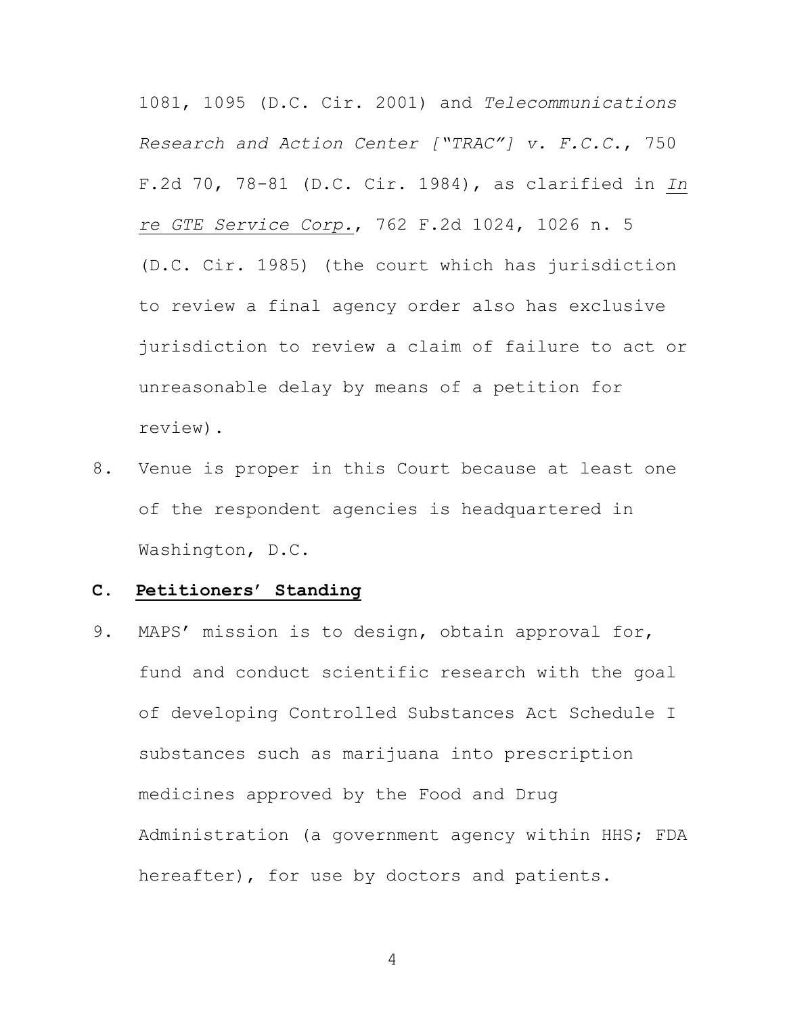1081, 1095 (D.C. Cir. 2001) and *Telecommunications Research and Action Center ["TRAC"] v. F.C.C*., 750 F.2d 70, 78-81 (D.C. Cir. 1984), as clarified in *In re GTE Service Corp.*, 762 F.2d 1024, 1026 n. 5 (D.C. Cir. 1985) (the court which has jurisdiction to review a final agency order also has exclusive jurisdiction to review a claim of failure to act or unreasonable delay by means of a petition for review).

8. Venue is proper in this Court because at least one of the respondent agencies is headquartered in Washington, D.C.

### **C. Petitioners' Standing**

9. MAPS' mission is to design, obtain approval for, fund and conduct scientific research with the goal of developing Controlled Substances Act Schedule I substances such as marijuana into prescription medicines approved by the Food and Drug Administration (a government agency within HHS; FDA hereafter), for use by doctors and patients.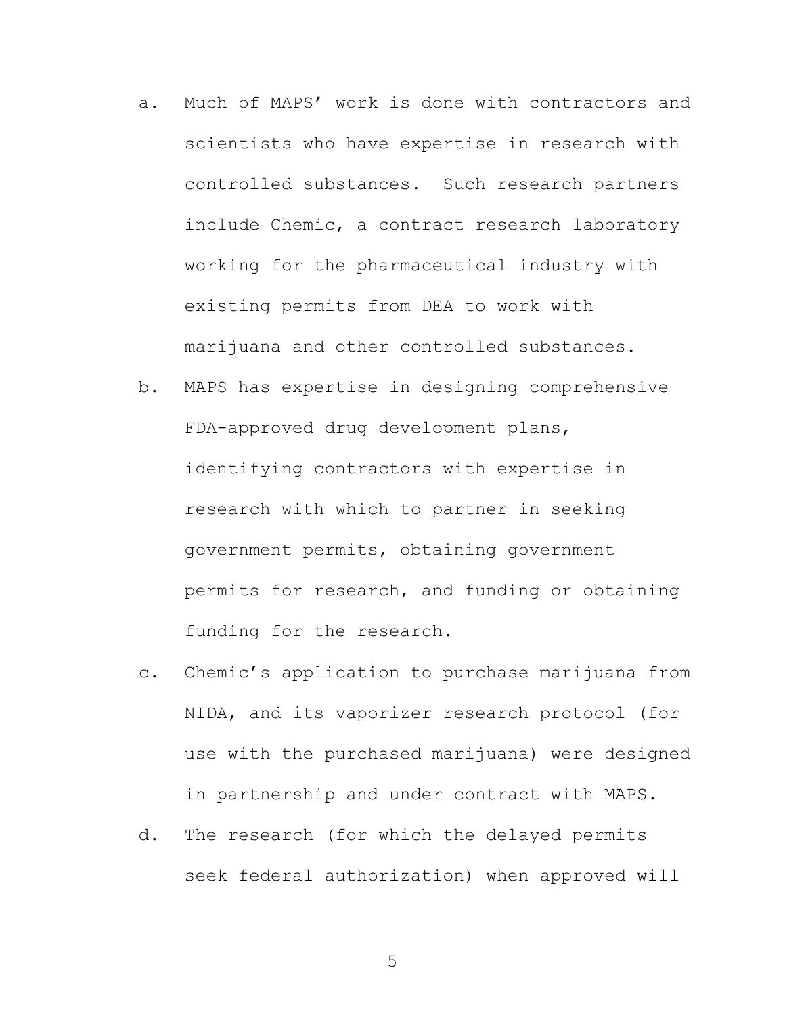- a. Much of MAPS' work is done with contractors and scientists who have expertise in research with controlled substances. Such research partners include Chemic, a contract research laboratory working for the pharmaceutical industry with existing permits from DEA to work with marijuana and other controlled substances.
- b. MAPS has expertise in designing comprehensive FDA-approved drug development plans, identifying contractors with expertise in research with which to partner in seeking government permits, obtaining government permits for research, and funding or obtaining funding for the research.
- c. Chemic's application to purchase marijuana from NIDA, and its vaporizer research protocol (for use with the purchased marijuana) were designed in partnership and under contract with MAPS.
- d. The research (for which the delayed permits seek federal authorization) when approved will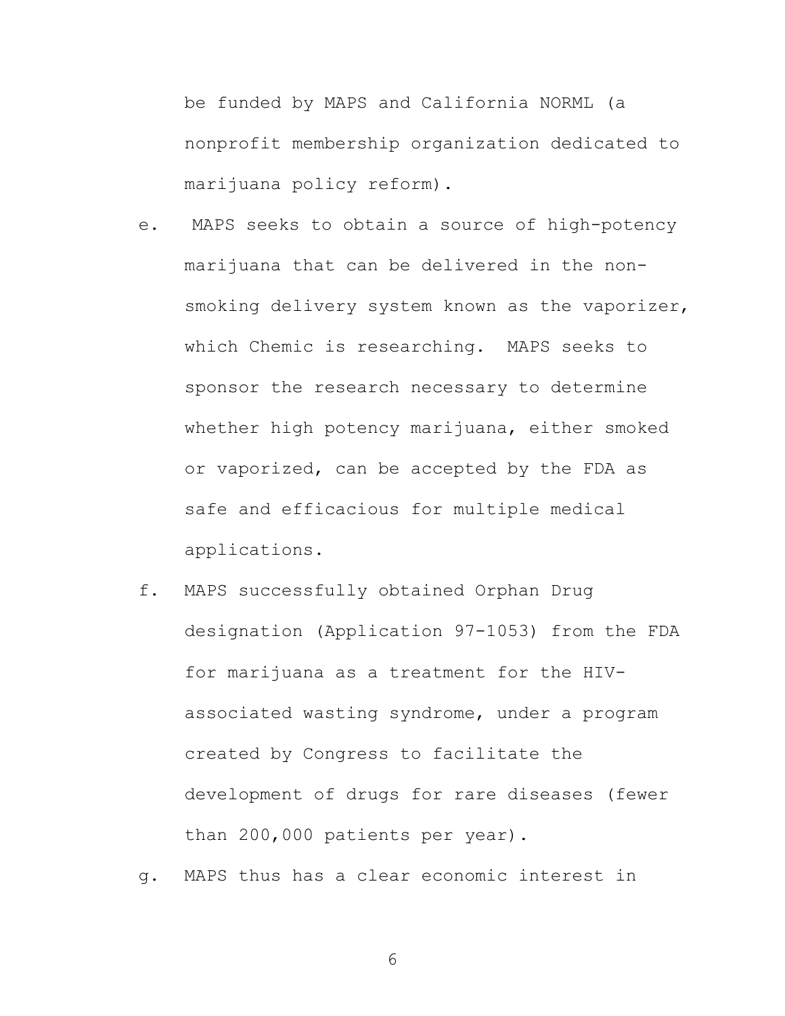be funded by MAPS and California NORML (a nonprofit membership organization dedicated to marijuana policy reform).

- e. MAPS seeks to obtain a source of high-potency marijuana that can be delivered in the nonsmoking delivery system known as the vaporizer, which Chemic is researching. MAPS seeks to sponsor the research necessary to determine whether high potency marijuana, either smoked or vaporized, can be accepted by the FDA as safe and efficacious for multiple medical applications.
- f. MAPS successfully obtained Orphan Drug designation (Application 97-1053) from the FDA for marijuana as a treatment for the HIVassociated wasting syndrome, under a program created by Congress to facilitate the development of drugs for rare diseases (fewer than 200,000 patients per year).
- g. MAPS thus has a clear economic interest in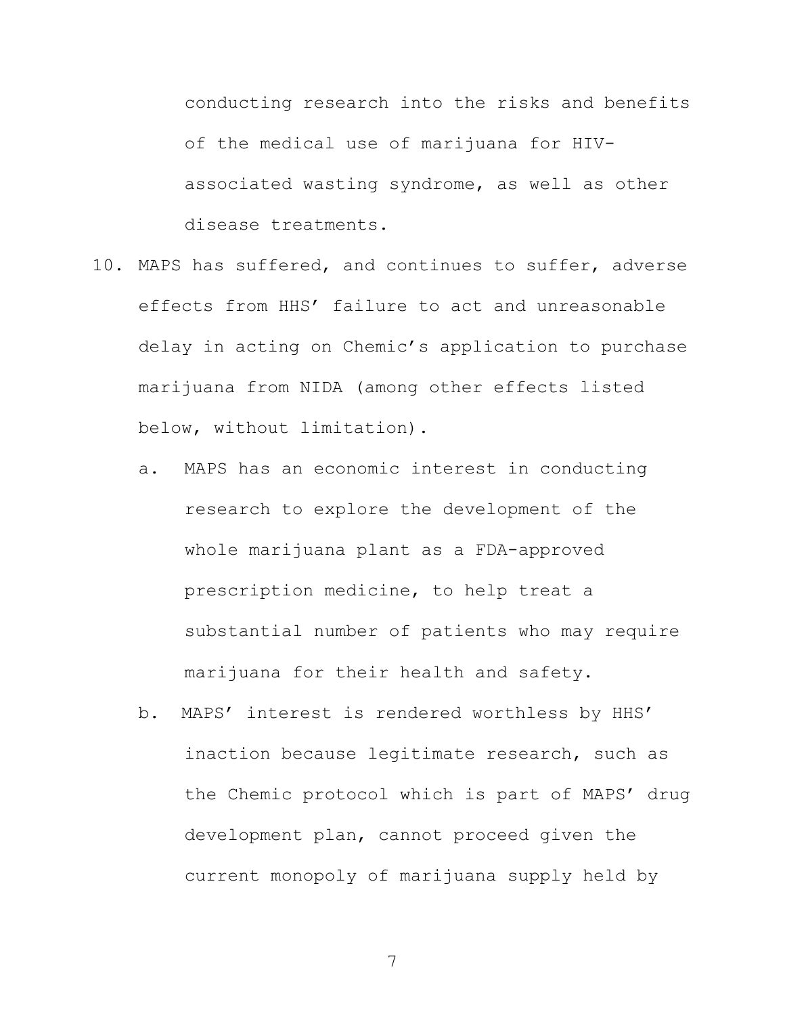conducting research into the risks and benefits of the medical use of marijuana for HIVassociated wasting syndrome, as well as other disease treatments.

- 10. MAPS has suffered, and continues to suffer, adverse effects from HHS' failure to act and unreasonable delay in acting on Chemic's application to purchase marijuana from NIDA (among other effects listed below, without limitation).
	- a. MAPS has an economic interest in conducting research to explore the development of the whole marijuana plant as a FDA-approved prescription medicine, to help treat a substantial number of patients who may require marijuana for their health and safety.
	- b. MAPS' interest is rendered worthless by HHS' inaction because legitimate research, such as the Chemic protocol which is part of MAPS' drug development plan, cannot proceed given the current monopoly of marijuana supply held by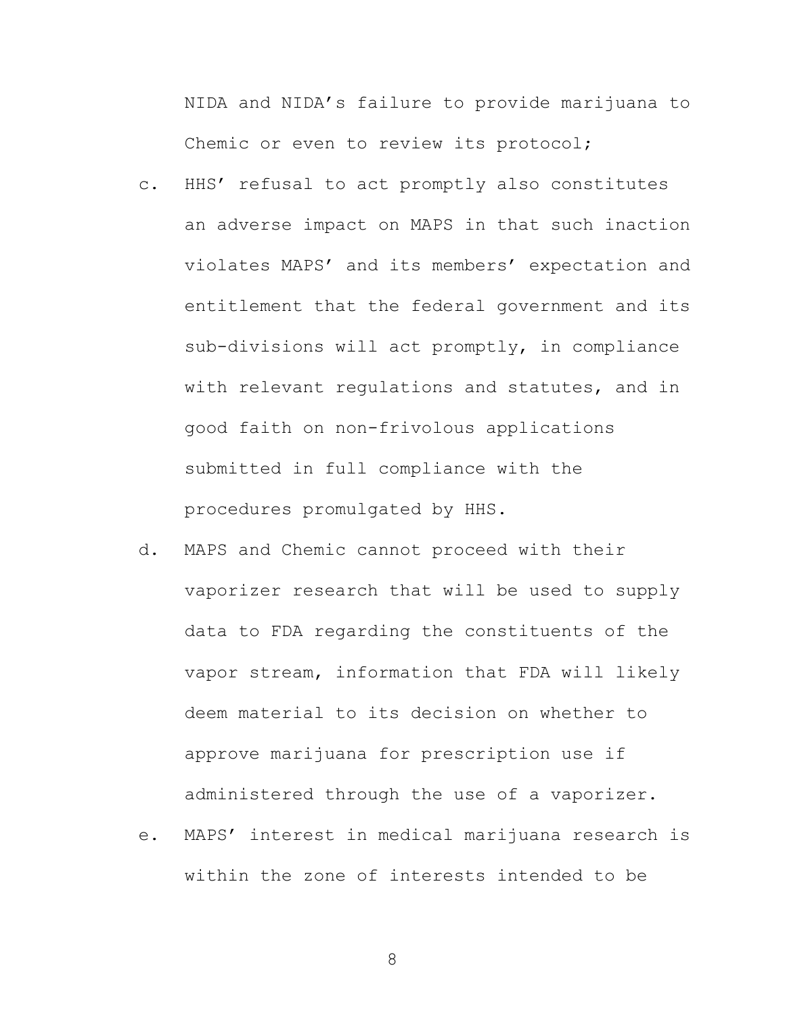NIDA and NIDA's failure to provide marijuana to Chemic or even to review its protocol;

- c. HHS' refusal to act promptly also constitutes an adverse impact on MAPS in that such inaction violates MAPS' and its members' expectation and entitlement that the federal government and its sub-divisions will act promptly, in compliance with relevant regulations and statutes, and in good faith on non-frivolous applications submitted in full compliance with the procedures promulgated by HHS.
- d. MAPS and Chemic cannot proceed with their vaporizer research that will be used to supply data to FDA regarding the constituents of the vapor stream, information that FDA will likely deem material to its decision on whether to approve marijuana for prescription use if administered through the use of a vaporizer.
- e. MAPS' interest in medical marijuana research is within the zone of interests intended to be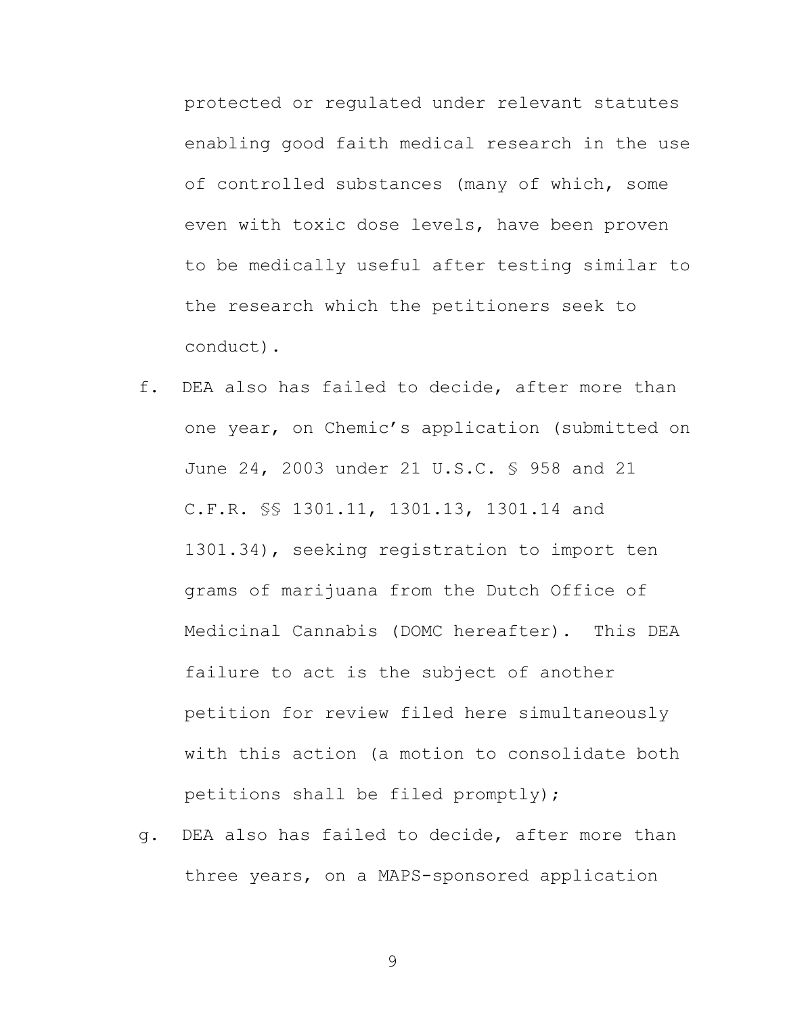protected or regulated under relevant statutes enabling good faith medical research in the use of controlled substances (many of which, some even with toxic dose levels, have been proven to be medically useful after testing similar to the research which the petitioners seek to conduct).

- f. DEA also has failed to decide, after more than one year, on Chemic's application (submitted on June 24, 2003 under 21 U.S.C. § 958 and 21 C.F.R. §§ 1301.11, 1301.13, 1301.14 and 1301.34), seeking registration to import ten grams of marijuana from the Dutch Office of Medicinal Cannabis (DOMC hereafter). This DEA failure to act is the subject of another petition for review filed here simultaneously with this action (a motion to consolidate both petitions shall be filed promptly);
- g. DEA also has failed to decide, after more than three years, on a MAPS-sponsored application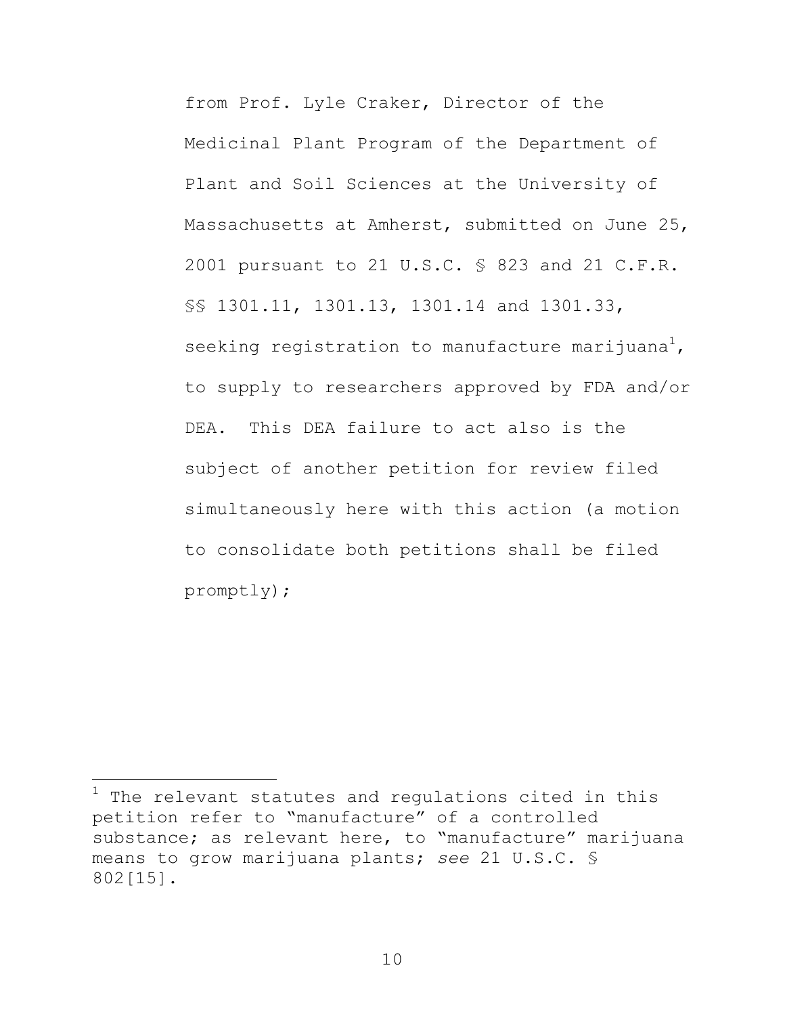from Prof. Lyle Craker, Director of the Medicinal Plant Program of the Department of Plant and Soil Sciences at the University of Massachusetts at Amherst, submitted on June 25, 2001 pursuant to 21 U.S.C. § 823 and 21 C.F.R. §§ 1301.11, 1301.13, 1301.14 and 1301.33, seeking registration to manufacture marijuana<sup>1</sup>, to supply to researchers approved by FDA and/or DEA. This DEA failure to act also is the subject of another petition for review filed simultaneously here with this action (a motion to consolidate both petitions shall be filed promptly);

 $\overline{a}$ 

<sup>1</sup> The relevant statutes and regulations cited in this petition refer to "manufacture" of a controlled substance; as relevant here, to "manufacture" marijuana means to grow marijuana plants; *see* 21 U.S.C. § 802[15].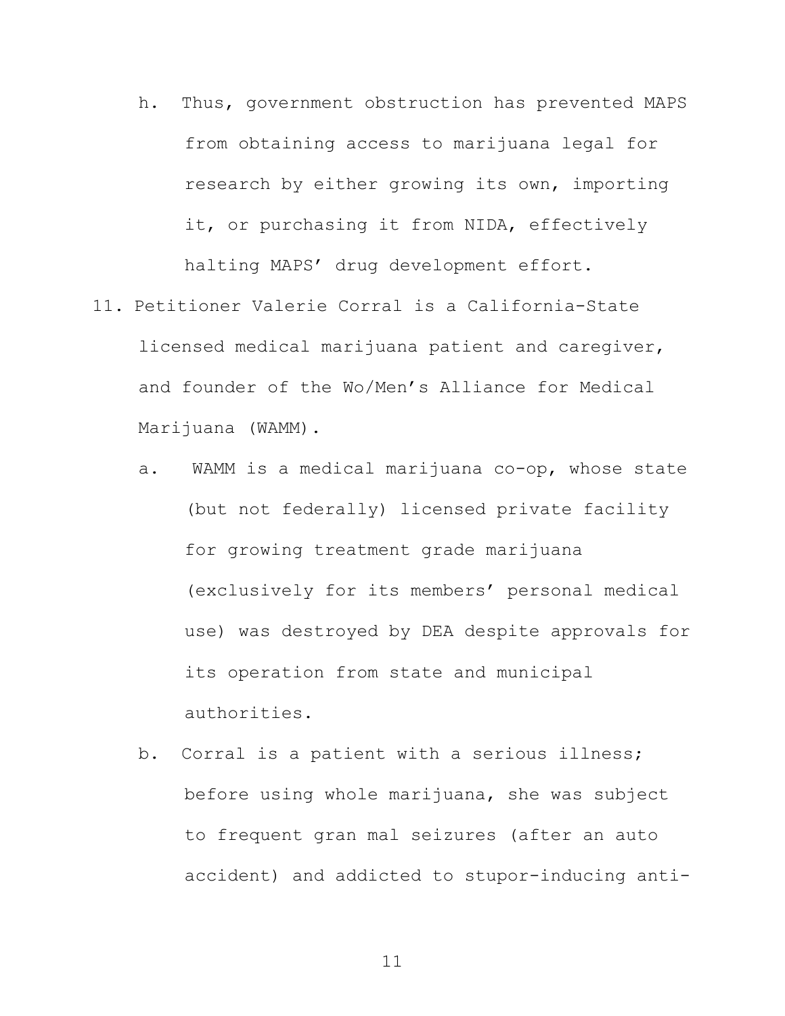- h. Thus, government obstruction has prevented MAPS from obtaining access to marijuana legal for research by either growing its own, importing it, or purchasing it from NIDA, effectively halting MAPS' drug development effort.
- 11. Petitioner Valerie Corral is a California-State licensed medical marijuana patient and caregiver, and founder of the Wo/Men's Alliance for Medical Marijuana (WAMM).
	- a. WAMM is a medical marijuana co-op, whose state (but not federally) licensed private facility for growing treatment grade marijuana (exclusively for its members' personal medical use) was destroyed by DEA despite approvals for its operation from state and municipal authorities.
	- b. Corral is a patient with a serious illness; before using whole marijuana, she was subject to frequent gran mal seizures (after an auto accident) and addicted to stupor-inducing anti-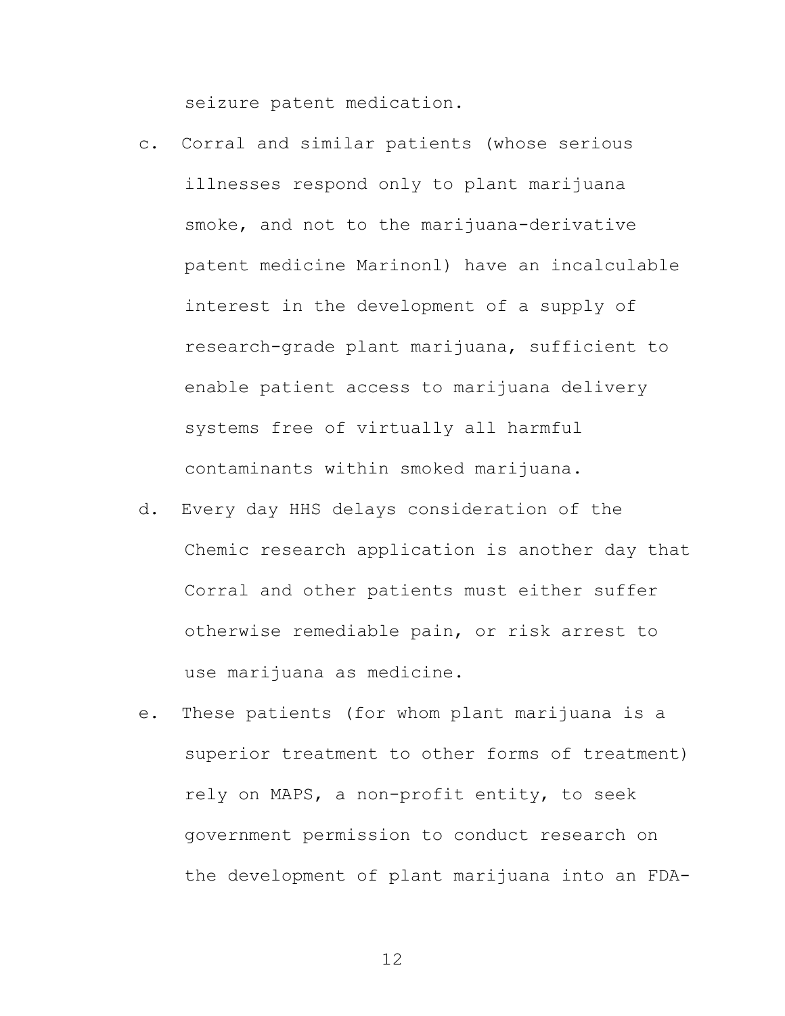seizure patent medication.

- c. Corral and similar patients (whose serious illnesses respond only to plant marijuana smoke, and not to the marijuana-derivative patent medicine Marinonl) have an incalculable interest in the development of a supply of research-grade plant marijuana, sufficient to enable patient access to marijuana delivery systems free of virtually all harmful contaminants within smoked marijuana.
- d. Every day HHS delays consideration of the Chemic research application is another day that Corral and other patients must either suffer otherwise remediable pain, or risk arrest to use marijuana as medicine.
- e. These patients (for whom plant marijuana is a superior treatment to other forms of treatment) rely on MAPS, a non-profit entity, to seek government permission to conduct research on the development of plant marijuana into an FDA-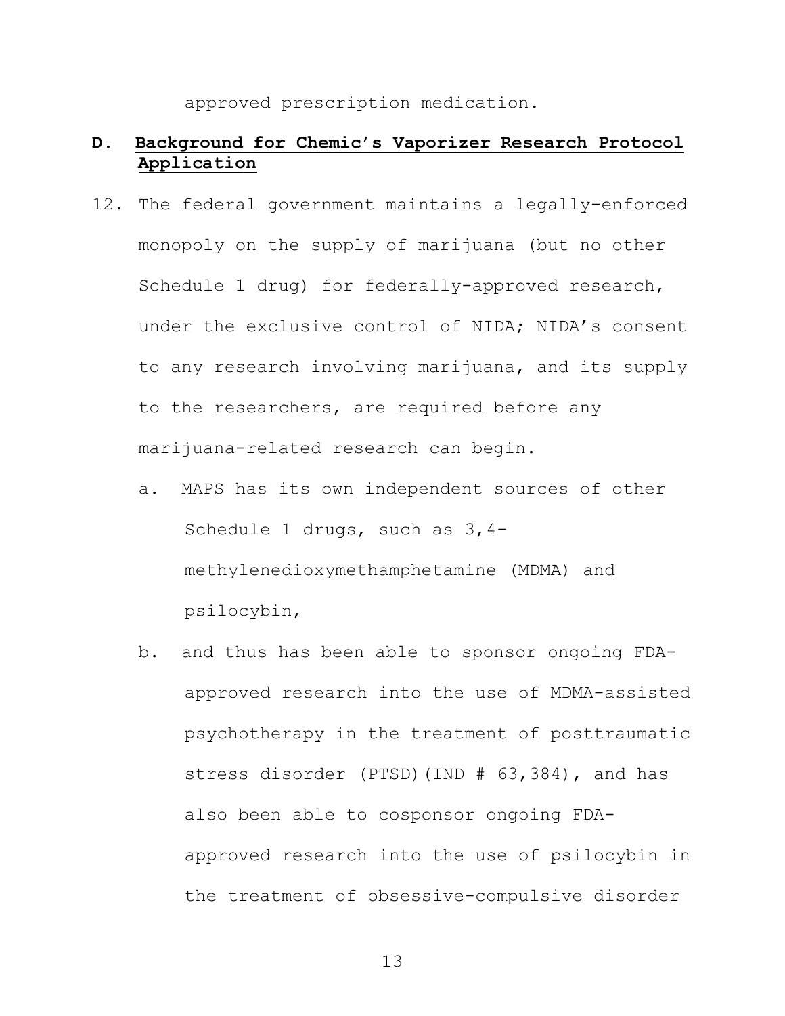approved prescription medication.

# **D. Background for Chemic's Vaporizer Research Protocol Application**

- 12. The federal government maintains a legally-enforced monopoly on the supply of marijuana (but no other Schedule 1 drug) for federally-approved research, under the exclusive control of NIDA; NIDA's consent to any research involving marijuana, and its supply to the researchers, are required before any marijuana-related research can begin.
	- a. MAPS has its own independent sources of other Schedule 1 drugs, such as 3,4 methylenedioxymethamphetamine (MDMA) and psilocybin,
	- b. and thus has been able to sponsor ongoing FDAapproved research into the use of MDMA-assisted psychotherapy in the treatment of posttraumatic stress disorder (PTSD)(IND # 63,384), and has also been able to cosponsor ongoing FDAapproved research into the use of psilocybin in the treatment of obsessive-compulsive disorder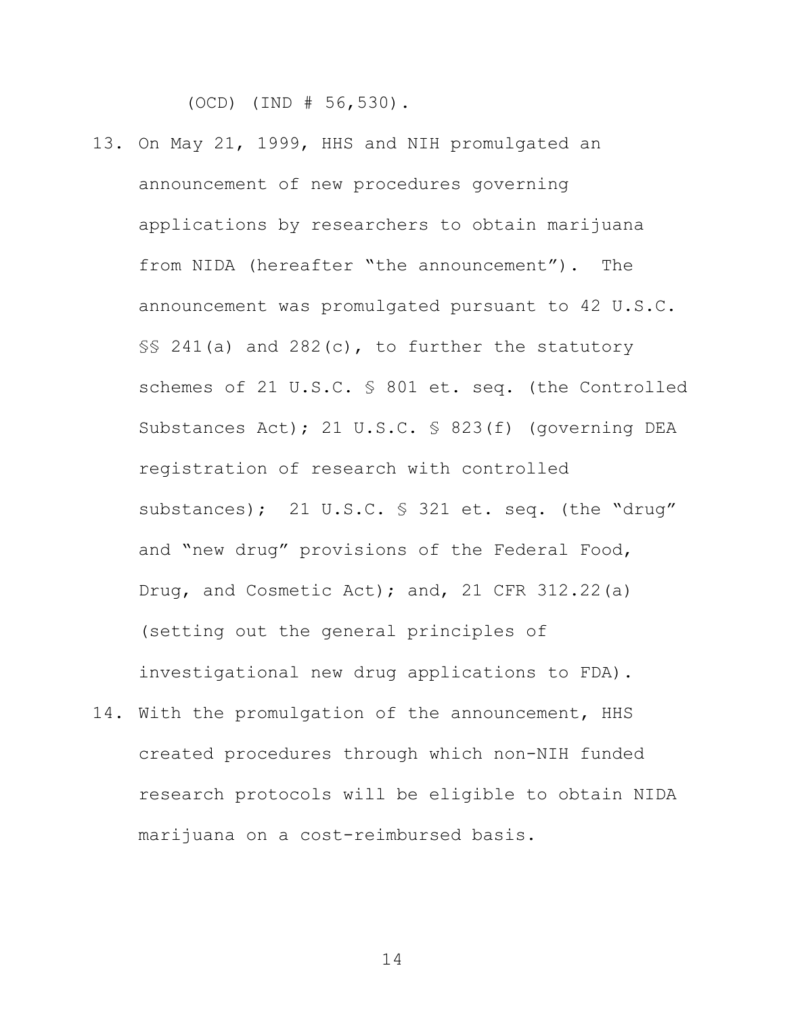(OCD) (IND # 56,530).

- 13. On May 21, 1999, HHS and NIH promulgated an announcement of new procedures governing applications by researchers to obtain marijuana from NIDA (hereafter "the announcement"). The announcement was promulgated pursuant to 42 U.S.C. §§ 241(a) and 282(c), to further the statutory schemes of 21 U.S.C. § 801 et. seq. (the Controlled Substances Act); 21 U.S.C. § 823(f) (governing DEA registration of research with controlled substances); 21 U.S.C. § 321 et. seq. (the "drug" and "new drug" provisions of the Federal Food, Drug, and Cosmetic Act); and, 21 CFR 312.22(a) (setting out the general principles of investigational new drug applications to FDA).
- 14. With the promulgation of the announcement, HHS created procedures through which non-NIH funded research protocols will be eligible to obtain NIDA marijuana on a cost-reimbursed basis.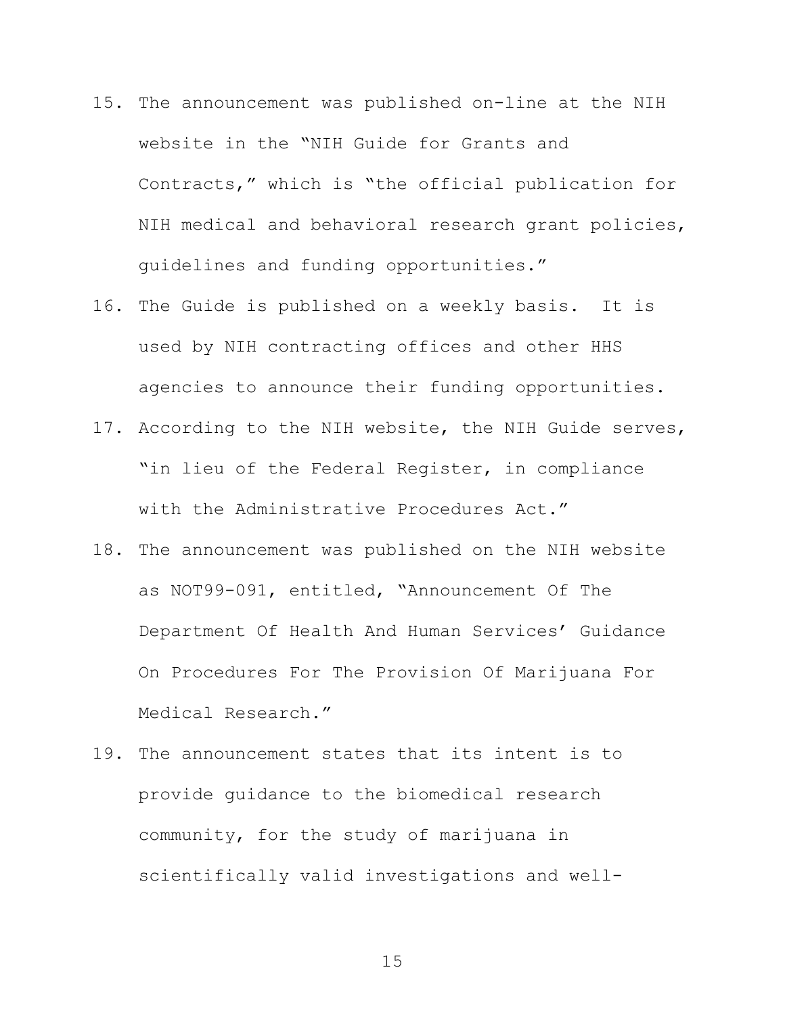- 15. The announcement was published on-line at the NIH website in the "NIH Guide for Grants and Contracts," which is "the official publication for NIH medical and behavioral research grant policies, guidelines and funding opportunities."
- 16. The Guide is published on a weekly basis. It is used by NIH contracting offices and other HHS agencies to announce their funding opportunities.
- 17. According to the NIH website, the NIH Guide serves, "in lieu of the Federal Register, in compliance with the Administrative Procedures Act."
- 18. The announcement was published on the NIH website as NOT99-091, entitled, "Announcement Of The Department Of Health And Human Services' Guidance On Procedures For The Provision Of Marijuana For Medical Research."
- 19. The announcement states that its intent is to provide guidance to the biomedical research community, for the study of marijuana in scientifically valid investigations and well-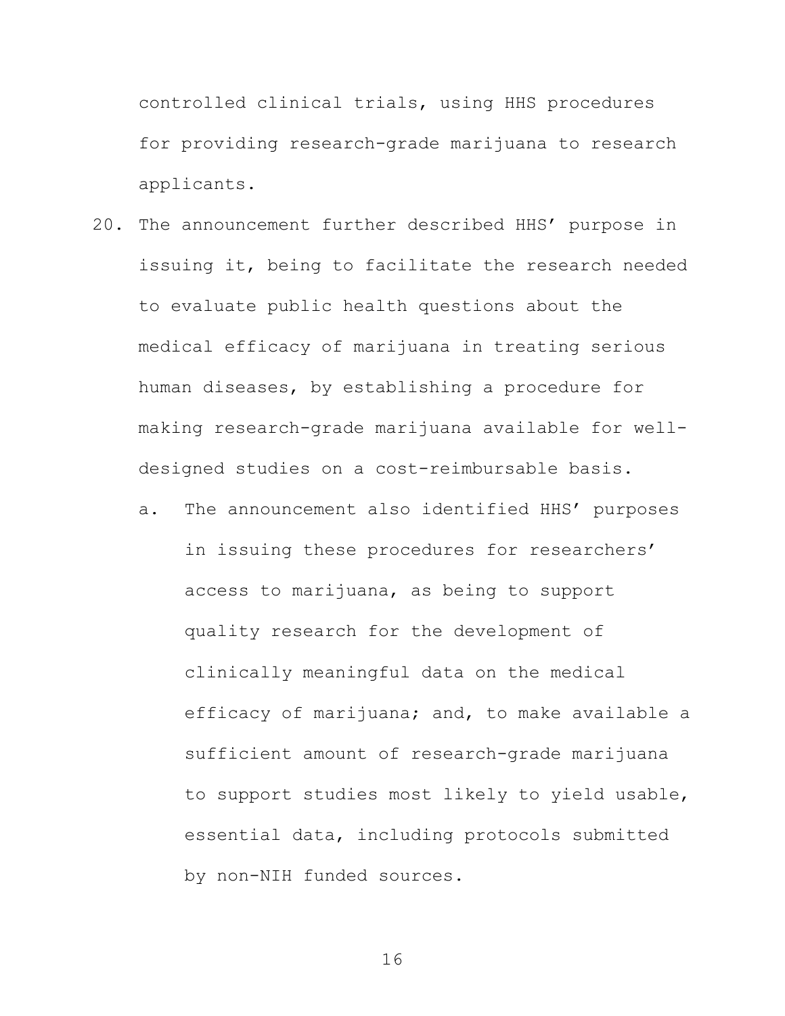controlled clinical trials, using HHS procedures for providing research-grade marijuana to research applicants.

- 20. The announcement further described HHS' purpose in issuing it, being to facilitate the research needed to evaluate public health questions about the medical efficacy of marijuana in treating serious human diseases, by establishing a procedure for making research-grade marijuana available for welldesigned studies on a cost-reimbursable basis.
	- a. The announcement also identified HHS' purposes in issuing these procedures for researchers' access to marijuana, as being to support quality research for the development of clinically meaningful data on the medical efficacy of marijuana; and, to make available a sufficient amount of research-grade marijuana to support studies most likely to yield usable, essential data, including protocols submitted by non-NIH funded sources.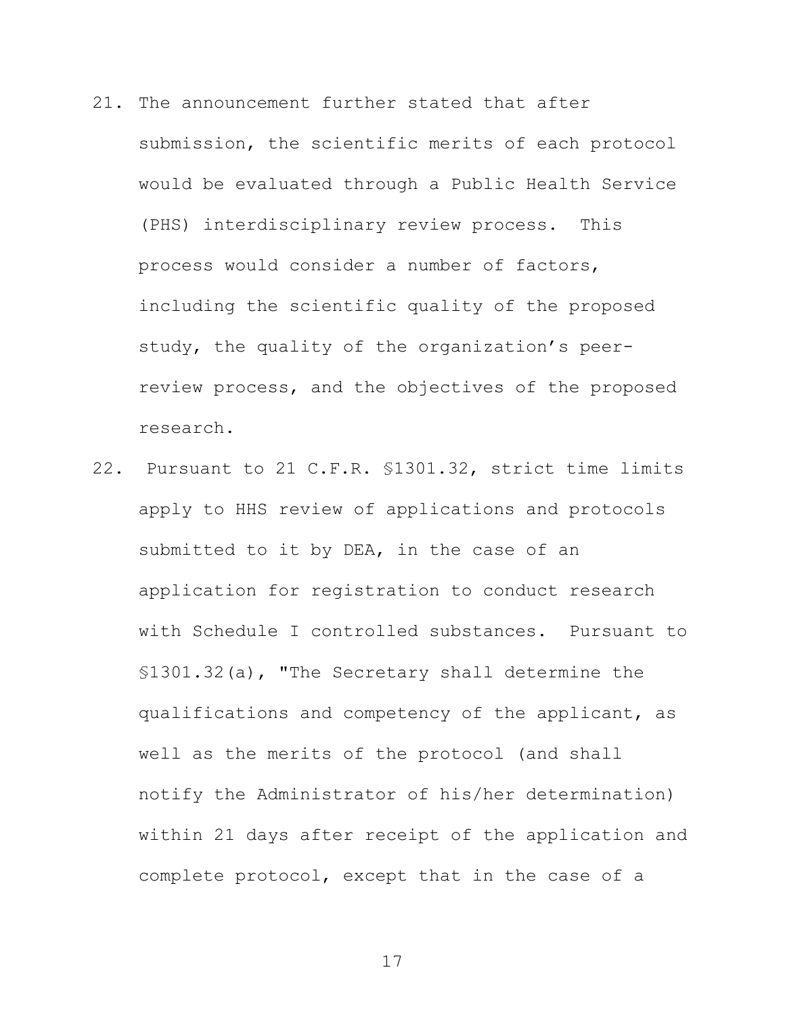- 21. The announcement further stated that after submission, the scientific merits of each protocol would be evaluated through a Public Health Service (PHS) interdisciplinary review process. This process would consider a number of factors, including the scientific quality of the proposed study, the quality of the organization's peerreview process, and the objectives of the proposed research.
- 22. Pursuant to 21 C.F.R. §1301.32, strict time limits apply to HHS review of applications and protocols submitted to it by DEA, in the case of an application for registration to conduct research with Schedule I controlled substances. Pursuant to §1301.32(a), "The Secretary shall determine the qualifications and competency of the applicant, as well as the merits of the protocol (and shall notify the Administrator of his/her determination) within 21 days after receipt of the application and complete protocol, except that in the case of a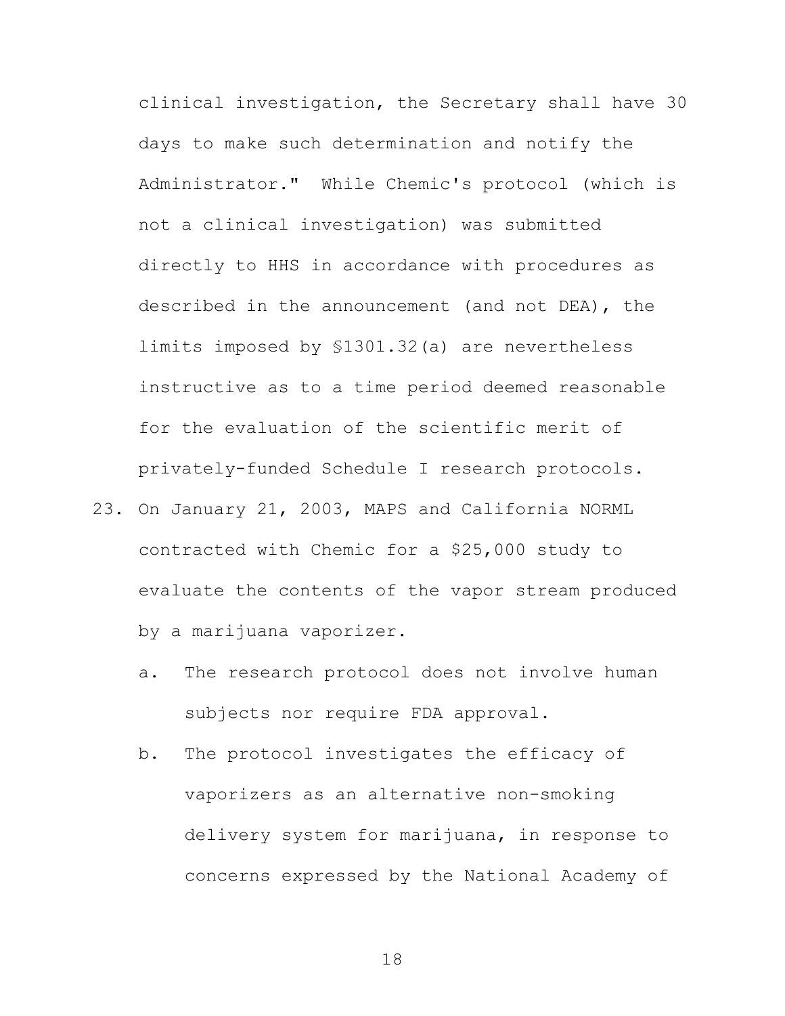clinical investigation, the Secretary shall have 30 days to make such determination and notify the Administrator." While Chemic's protocol (which is not a clinical investigation) was submitted directly to HHS in accordance with procedures as described in the announcement (and not DEA), the limits imposed by §1301.32(a) are nevertheless instructive as to a time period deemed reasonable for the evaluation of the scientific merit of privately-funded Schedule I research protocols.

- 23. On January 21, 2003, MAPS and California NORML contracted with Chemic for a \$25,000 study to evaluate the contents of the vapor stream produced by a marijuana vaporizer.
	- a. The research protocol does not involve human subjects nor require FDA approval.
	- b. The protocol investigates the efficacy of vaporizers as an alternative non-smoking delivery system for marijuana, in response to concerns expressed by the National Academy of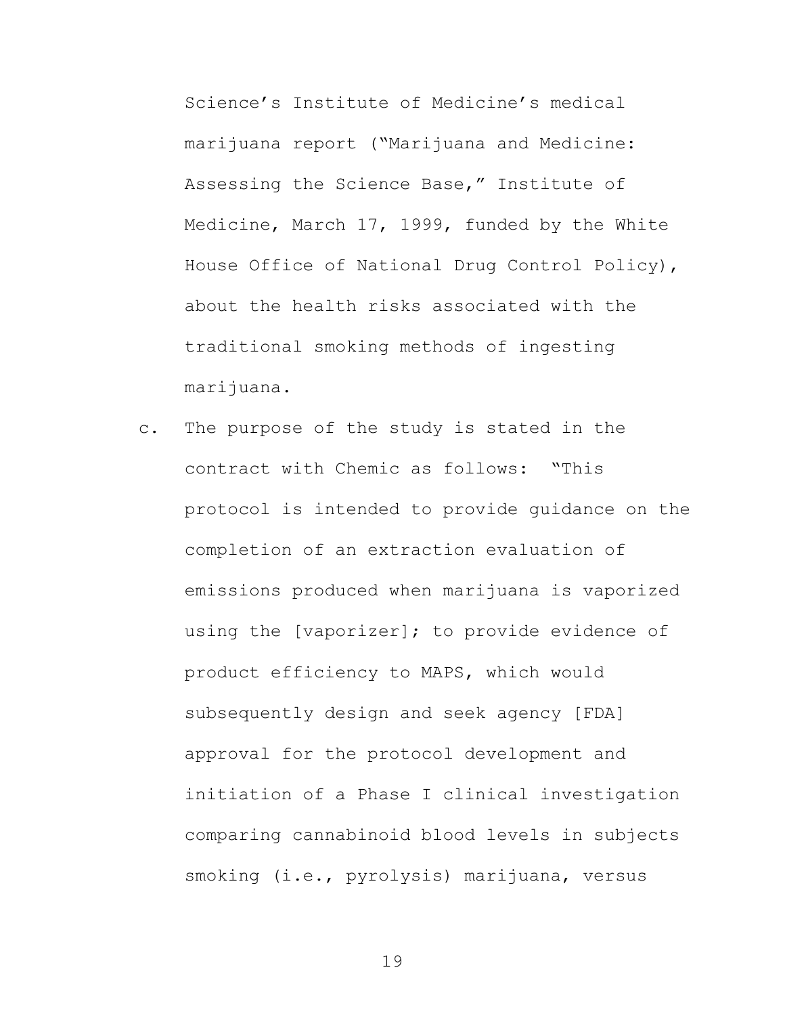Science's Institute of Medicine's medical marijuana report ("Marijuana and Medicine: Assessing the Science Base," Institute of Medicine, March 17, 1999, funded by the White House Office of National Drug Control Policy), about the health risks associated with the traditional smoking methods of ingesting marijuana.

c. The purpose of the study is stated in the contract with Chemic as follows: "This protocol is intended to provide guidance on the completion of an extraction evaluation of emissions produced when marijuana is vaporized using the [vaporizer]; to provide evidence of product efficiency to MAPS, which would subsequently design and seek agency [FDA] approval for the protocol development and initiation of a Phase I clinical investigation comparing cannabinoid blood levels in subjects smoking (i.e., pyrolysis) marijuana, versus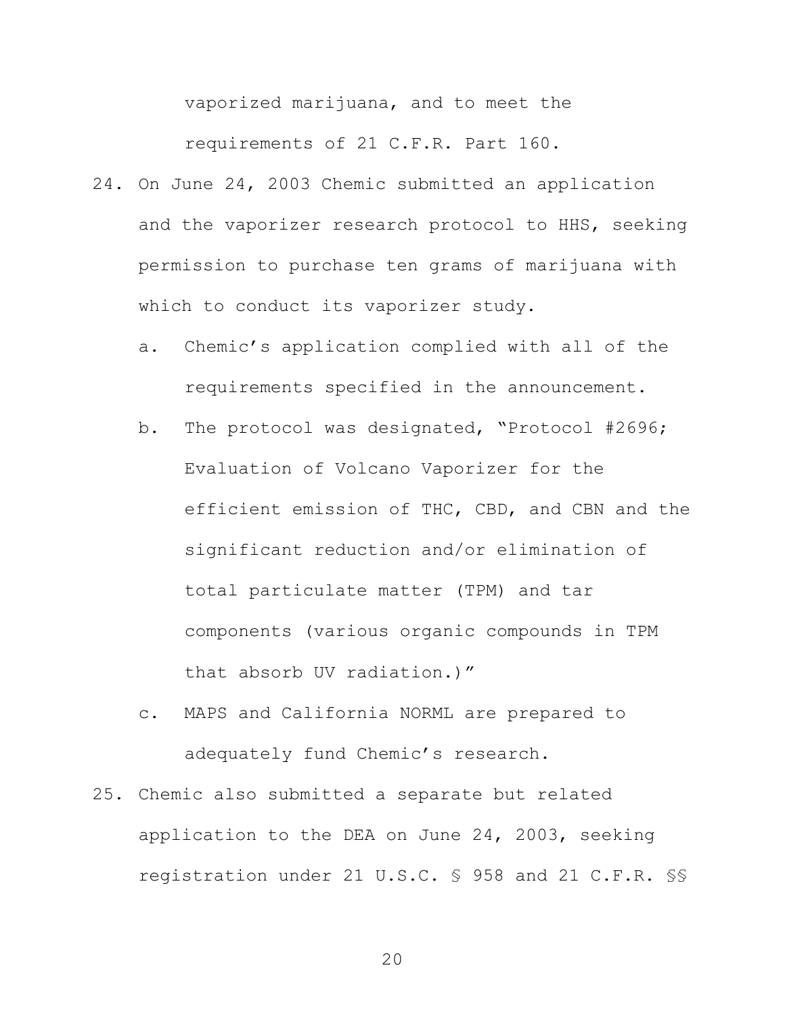vaporized marijuana, and to meet the

requirements of 21 C.F.R. Part 160.

- 24. On June 24, 2003 Chemic submitted an application and the vaporizer research protocol to HHS, seeking permission to purchase ten grams of marijuana with which to conduct its vaporizer study.
	- a. Chemic's application complied with all of the requirements specified in the announcement.
	- b. The protocol was designated, "Protocol #2696; Evaluation of Volcano Vaporizer for the efficient emission of THC, CBD, and CBN and the significant reduction and/or elimination of total particulate matter (TPM) and tar components (various organic compounds in TPM that absorb UV radiation.)"
	- c. MAPS and California NORML are prepared to adequately fund Chemic's research.
- 25. Chemic also submitted a separate but related application to the DEA on June 24, 2003, seeking registration under 21 U.S.C. § 958 and 21 C.F.R. §§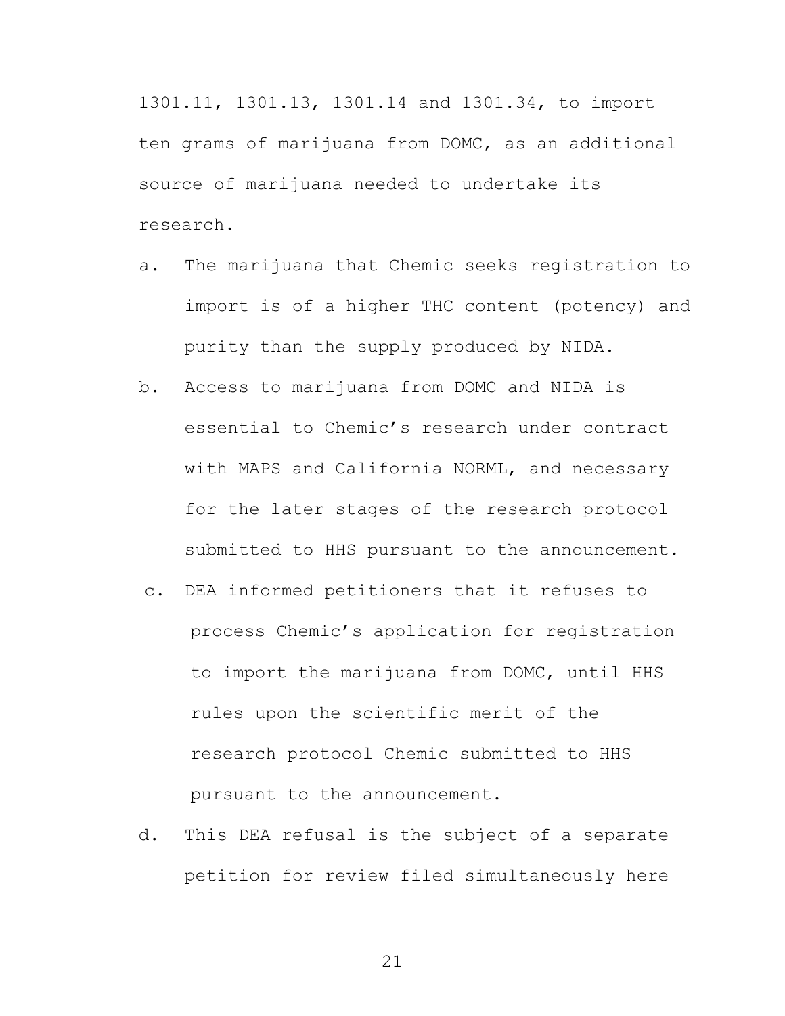1301.11, 1301.13, 1301.14 and 1301.34, to import ten grams of marijuana from DOMC, as an additional source of marijuana needed to undertake its research.

- a. The marijuana that Chemic seeks registration to import is of a higher THC content (potency) and purity than the supply produced by NIDA.
- b. Access to marijuana from DOMC and NIDA is essential to Chemic's research under contract with MAPS and California NORML, and necessary for the later stages of the research protocol submitted to HHS pursuant to the announcement.
- c. DEA informed petitioners that it refuses to process Chemic's application for registration to import the marijuana from DOMC, until HHS rules upon the scientific merit of the research protocol Chemic submitted to HHS pursuant to the announcement.
- d. This DEA refusal is the subject of a separate petition for review filed simultaneously here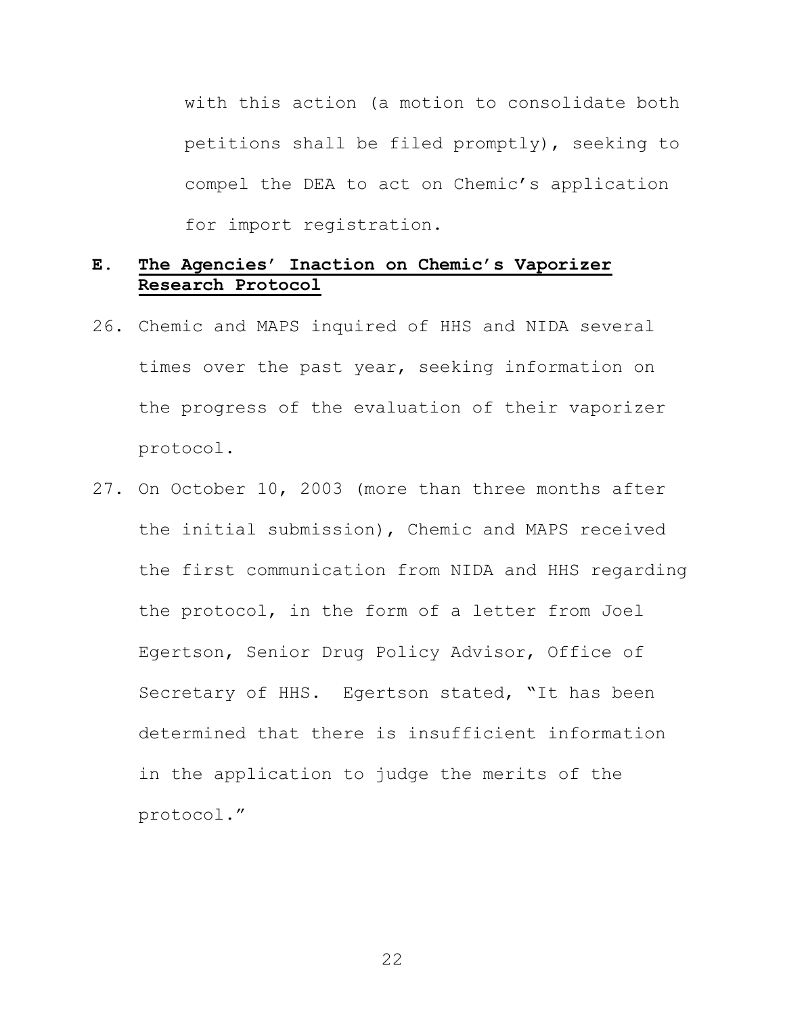with this action (a motion to consolidate both petitions shall be filed promptly), seeking to compel the DEA to act on Chemic's application for import registration.

## **E. The Agencies' Inaction on Chemic's Vaporizer Research Protocol**

- 26. Chemic and MAPS inquired of HHS and NIDA several times over the past year, seeking information on the progress of the evaluation of their vaporizer protocol.
- 27. On October 10, 2003 (more than three months after the initial submission), Chemic and MAPS received the first communication from NIDA and HHS regarding the protocol, in the form of a letter from Joel Egertson, Senior Drug Policy Advisor, Office of Secretary of HHS. Egertson stated, "It has been determined that there is insufficient information in the application to judge the merits of the protocol."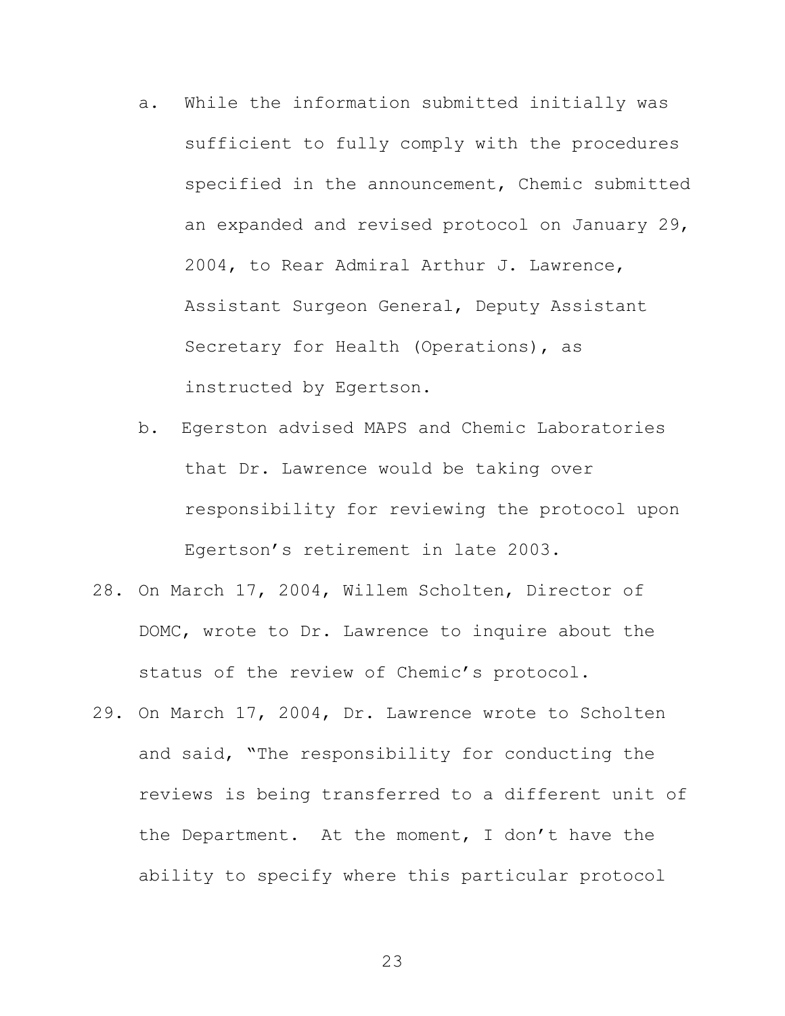- a. While the information submitted initially was sufficient to fully comply with the procedures specified in the announcement, Chemic submitted an expanded and revised protocol on January 29, 2004, to Rear Admiral Arthur J. Lawrence, Assistant Surgeon General, Deputy Assistant Secretary for Health (Operations), as instructed by Egertson.
- b. Egerston advised MAPS and Chemic Laboratories that Dr. Lawrence would be taking over responsibility for reviewing the protocol upon Egertson's retirement in late 2003.
- 28. On March 17, 2004, Willem Scholten, Director of DOMC, wrote to Dr. Lawrence to inquire about the status of the review of Chemic's protocol.
- 29. On March 17, 2004, Dr. Lawrence wrote to Scholten and said, "The responsibility for conducting the reviews is being transferred to a different unit of the Department. At the moment, I don't have the ability to specify where this particular protocol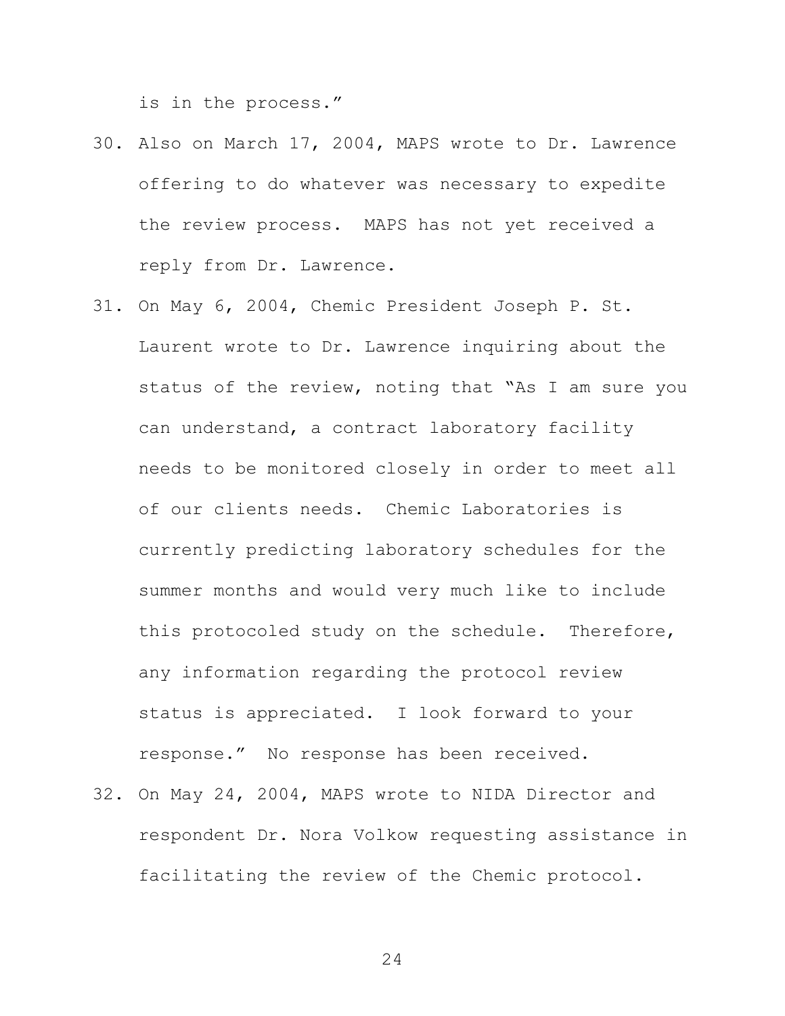is in the process."

- 30. Also on March 17, 2004, MAPS wrote to Dr. Lawrence offering to do whatever was necessary to expedite the review process. MAPS has not yet received a reply from Dr. Lawrence.
- 31. On May 6, 2004, Chemic President Joseph P. St. Laurent wrote to Dr. Lawrence inquiring about the status of the review, noting that "As I am sure you can understand, a contract laboratory facility needs to be monitored closely in order to meet all of our clients needs. Chemic Laboratories is currently predicting laboratory schedules for the summer months and would very much like to include this protocoled study on the schedule. Therefore, any information regarding the protocol review status is appreciated. I look forward to your response." No response has been received.
- 32. On May 24, 2004, MAPS wrote to NIDA Director and respondent Dr. Nora Volkow requesting assistance in facilitating the review of the Chemic protocol.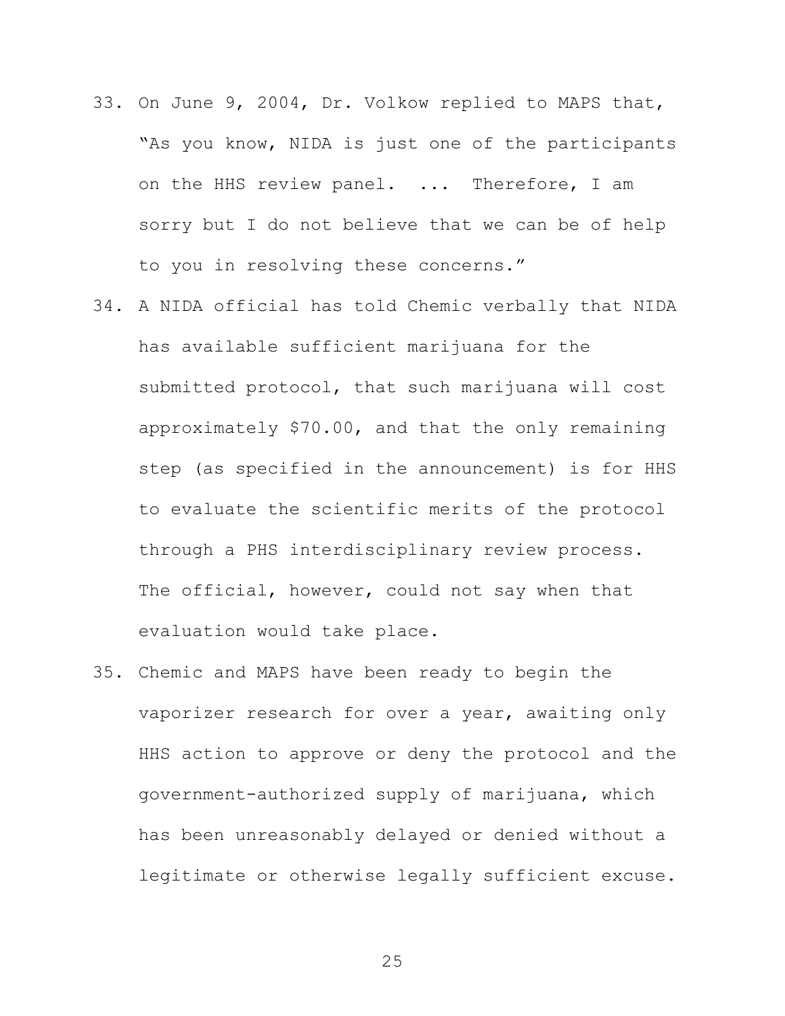- 33. On June 9, 2004, Dr. Volkow replied to MAPS that, "As you know, NIDA is just one of the participants on the HHS review panel. ... Therefore, I am sorry but I do not believe that we can be of help to you in resolving these concerns."
- 34. A NIDA official has told Chemic verbally that NIDA has available sufficient marijuana for the submitted protocol, that such marijuana will cost approximately \$70.00, and that the only remaining step (as specified in the announcement) is for HHS to evaluate the scientific merits of the protocol through a PHS interdisciplinary review process. The official, however, could not say when that evaluation would take place.
- 35. Chemic and MAPS have been ready to begin the vaporizer research for over a year, awaiting only HHS action to approve or deny the protocol and the government-authorized supply of marijuana, which has been unreasonably delayed or denied without a legitimate or otherwise legally sufficient excuse.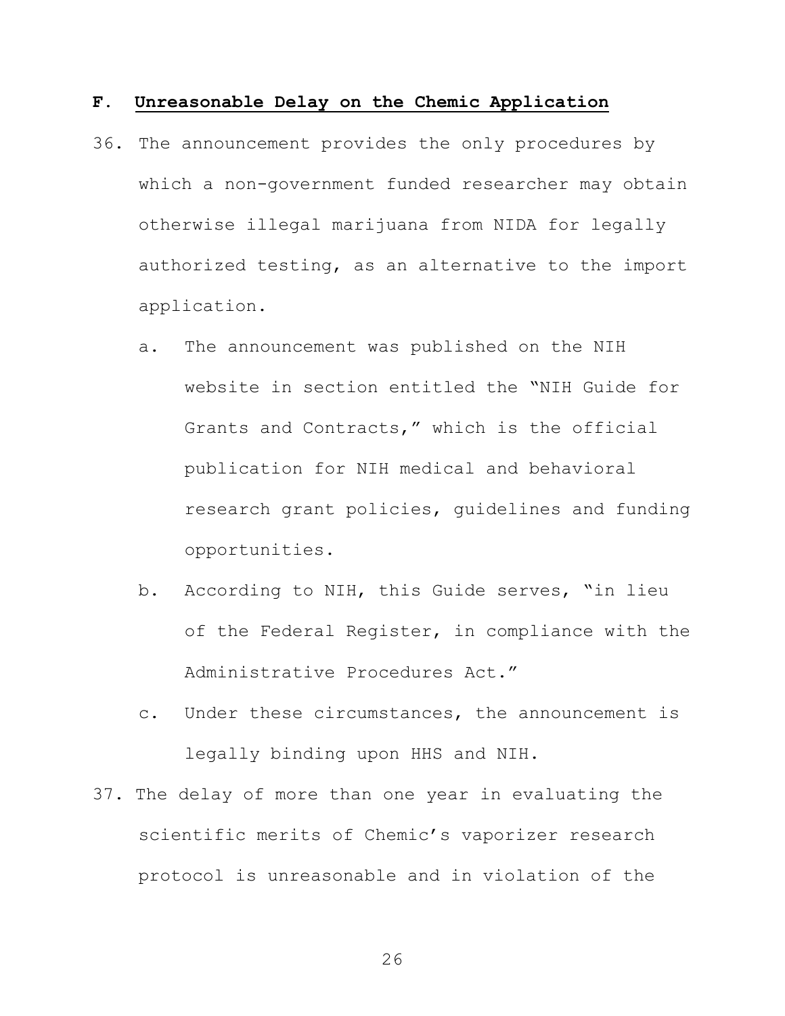#### **F. Unreasonable Delay on the Chemic Application**

- 36. The announcement provides the only procedures by which a non-government funded researcher may obtain otherwise illegal marijuana from NIDA for legally authorized testing, as an alternative to the import application.
	- a. The announcement was published on the NIH website in section entitled the "NIH Guide for Grants and Contracts," which is the official publication for NIH medical and behavioral research grant policies, guidelines and funding opportunities.
	- b. According to NIH, this Guide serves, "in lieu of the Federal Register, in compliance with the Administrative Procedures Act."
	- c. Under these circumstances, the announcement is legally binding upon HHS and NIH.
- 37. The delay of more than one year in evaluating the scientific merits of Chemic's vaporizer research protocol is unreasonable and in violation of the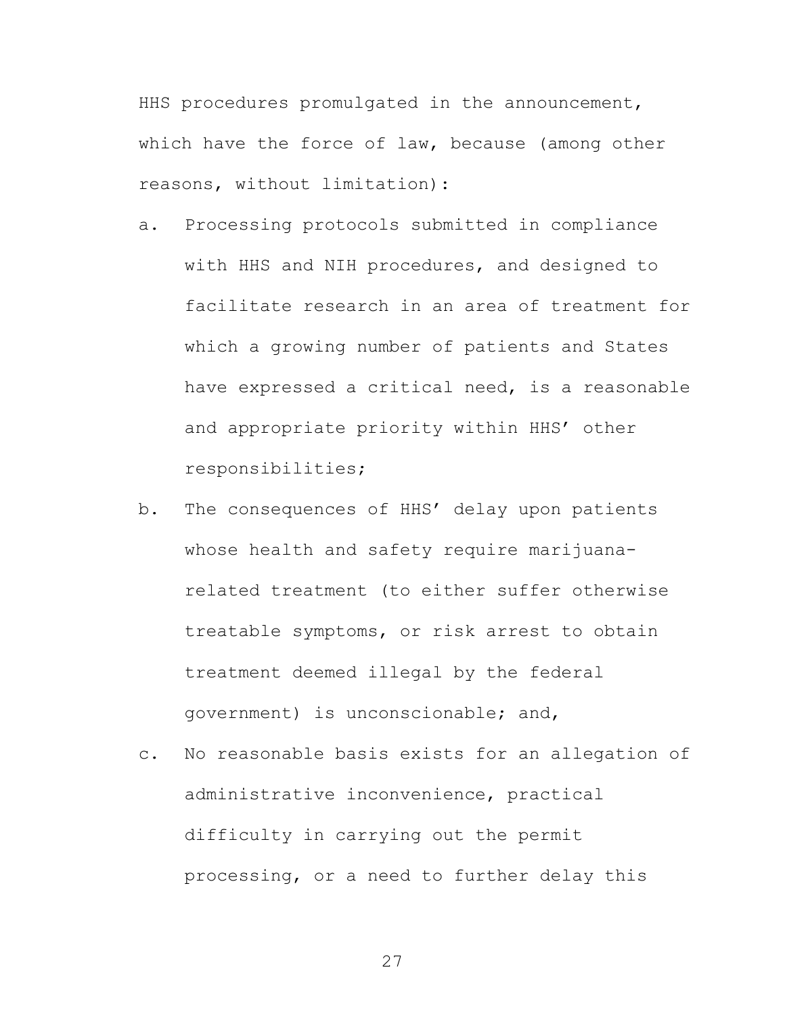HHS procedures promulgated in the announcement, which have the force of law, because (among other reasons, without limitation):

- a. Processing protocols submitted in compliance with HHS and NIH procedures, and designed to facilitate research in an area of treatment for which a growing number of patients and States have expressed a critical need, is a reasonable and appropriate priority within HHS' other responsibilities;
- b. The consequences of HHS' delay upon patients whose health and safety require marijuanarelated treatment (to either suffer otherwise treatable symptoms, or risk arrest to obtain treatment deemed illegal by the federal government) is unconscionable; and,
- c. No reasonable basis exists for an allegation of administrative inconvenience, practical difficulty in carrying out the permit processing, or a need to further delay this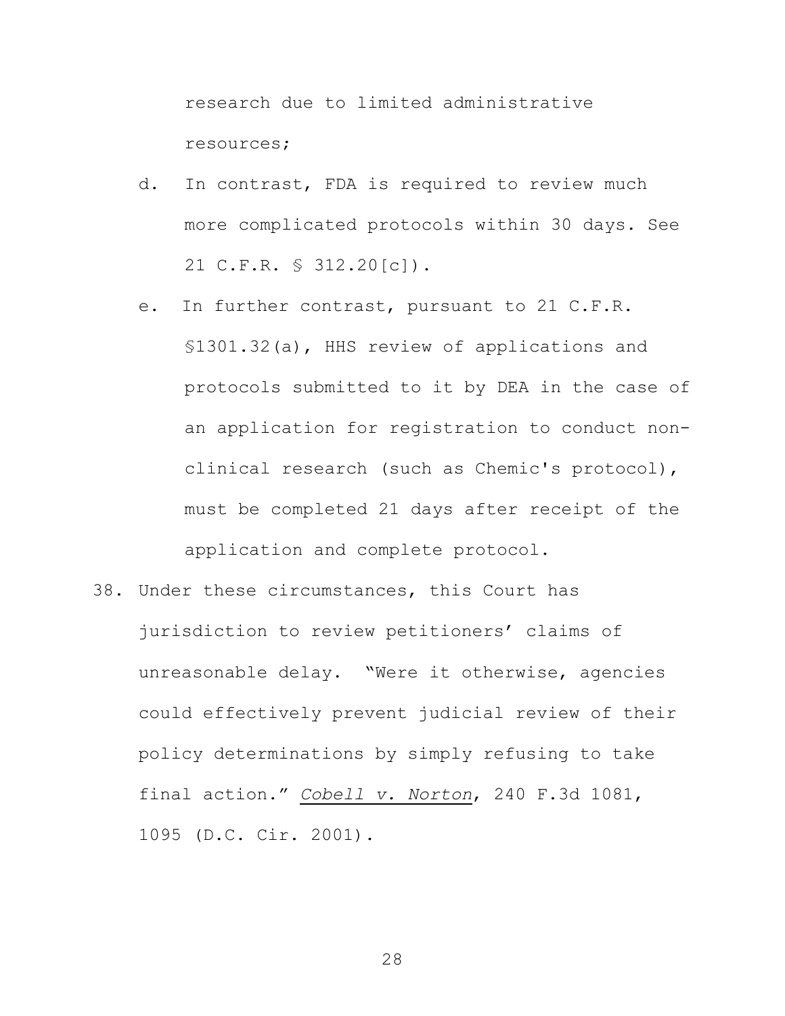research due to limited administrative resources;

- d. In contrast, FDA is required to review much more complicated protocols within 30 days. See 21 C.F.R. § 312.20[c]).
- e. In further contrast, pursuant to 21 C.F.R. §1301.32(a), HHS review of applications and protocols submitted to it by DEA in the case of an application for registration to conduct nonclinical research (such as Chemic's protocol), must be completed 21 days after receipt of the application and complete protocol.
- 38. Under these circumstances, this Court has jurisdiction to review petitioners' claims of unreasonable delay. "Were it otherwise, agencies could effectively prevent judicial review of their policy determinations by simply refusing to take final action." *Cobell v. Norton*, 240 F.3d 1081, 1095 (D.C. Cir. 2001).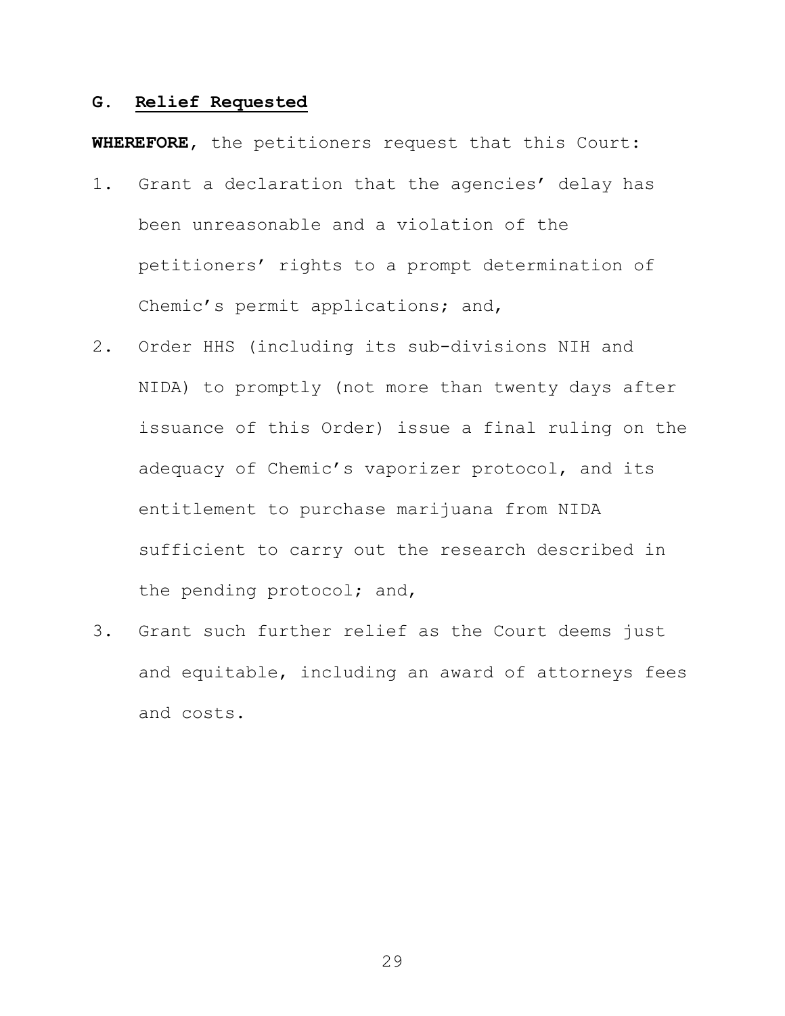#### **G. Relief Requested**

**WHEREFORE**, the petitioners request that this Court:

- 1. Grant a declaration that the agencies' delay has been unreasonable and a violation of the petitioners' rights to a prompt determination of Chemic's permit applications; and,
- 2. Order HHS (including its sub-divisions NIH and NIDA) to promptly (not more than twenty days after issuance of this Order) issue a final ruling on the adequacy of Chemic's vaporizer protocol, and its entitlement to purchase marijuana from NIDA sufficient to carry out the research described in the pending protocol; and,
- 3. Grant such further relief as the Court deems just and equitable, including an award of attorneys fees and costs.